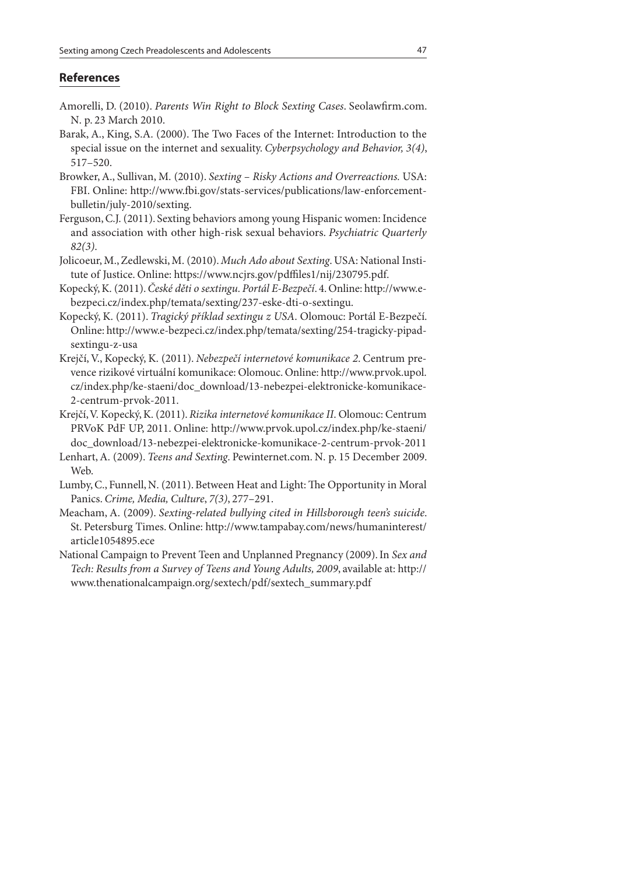## **References**

- Amorelli, D. (2010). Parents Win Right to Block Sexting Cases. Seolawfirm.com. N. p. 23 March 2010.
- Barak, A., King, S.A. (2000). The Two Faces of the Internet: Introduction to the special issue on the internet and sexuality. Cyberpsychology and Behavior, 3(4), 517–520.
- Browker, A., Sullivan, M. (2010). Sexting Risky Actions and Overreactions. USA: FBI. Online: http://www.fbi.gov/stats-services/publications/law-enforcementbulletin/july-2010/sexting.
- Ferguson, C.J. (2011). Sexting behaviors among young Hispanic women: Incidence and association with other high-risk sexual behaviors. Psychiatric Quarterly 82(3).
- Jolicoeur, M., Zedlewski, M. (2010). Much Ado about Sexting. USA: National Institute of Justice. Online: https://www.ncjrs.gov/pdffiles1/nij/230795.pdf.
- Kopecký, K. (2011). České děti o sextingu. Portál E-Bezpečí. 4. Online: http://www.ebezpeci.cz/index.php/temata/sexting/237-eske-dti-o-sextingu.
- Kopecký, K. (2011). Tragický příklad sextingu z USA. Olomouc: Portál E-Bezpečí. Online: http://www.e-bezpeci.cz/index.php/temata/sexting/254-tragicky-pipadsextingu-z-usa
- Krejčí, V., Kopecký, K. (2011). Nebezpečí internetové komunikace 2. Centrum prevence rizikové virtuální komunikace: Olomouc. Online: http://www.prvok.upol. cz/index.php/ke-staeni/doc\_download/13-nebezpei-elektronicke-komunikace-2-centrum-prvok-2011.
- Krejčí, V. Kopecký, K. (2011). Rizika internetové komunikace II. Olomouc: Centrum PRVoK PdF UP, 2011. Online: http://www.prvok.upol.cz/index.php/ke-staeni/ doc\_download/13-nebezpei-elektronicke-komunikace-2-centrum-prvok-2011
- Lenhart, A. (2009). Teens and Sexting. Pewinternet.com. N. p. 15 December 2009. Web.
- Lumby, C., Funnell, N. (2011). Between Heat and Light: The Opportunity in Moral Panics. Crime, Media, Culture, 7(3), 277–291.
- Meacham, A. (2009). Sexting-related bullying cited in Hillsborough teen's suicide. St. Petersburg Times. Online: http://www.tampabay.com/news/humaninterest/ article1054895.ece
- National Campaign to Prevent Teen and Unplanned Pregnancy (2009). In Sex and Tech: Results from a Survey of Teens and Young Adults, 2009, available at: http:// www.thenationalcampaign.org/sextech/pdf/sextech\_summary.pdf